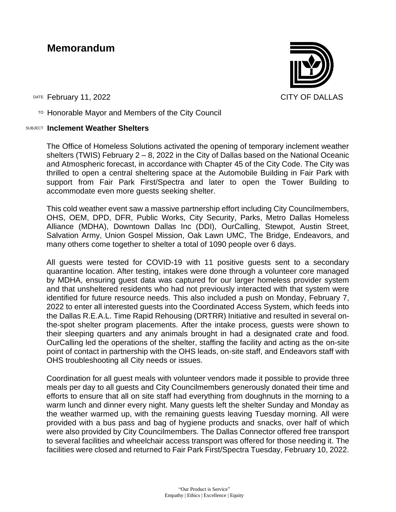## **Memorandum**

DATE February 11, 2022 **CITY OF DALLAS** 

 $T$ <sup>O</sup> Honorable Mayor and Members of the City Council

## SUBJECT **Inclement Weather Shelters**

The Office of Homeless Solutions activated the opening of temporary inclement weather shelters (TWIS) February 2 – 8, 2022 in the City of Dallas based on the National Oceanic and Atmospheric forecast, in accordance with Chapter 45 of the City Code. The City was thrilled to open a central sheltering space at the Automobile Building in Fair Park with support from Fair Park First/Spectra and later to open the Tower Building to accommodate even more guests seeking shelter.

This cold weather event saw a massive partnership effort including City Councilmembers, OHS, OEM, DPD, DFR, Public Works, City Security, Parks, Metro Dallas Homeless Alliance (MDHA), Downtown Dallas Inc (DDI), OurCalling, Stewpot, Austin Street, Salvation Army, Union Gospel Mission, Oak Lawn UMC, The Bridge, Endeavors, and many others come together to shelter a total of 1090 people over 6 days.

All guests were tested for COVID-19 with 11 positive guests sent to a secondary quarantine location. After testing, intakes were done through a volunteer core managed by MDHA, ensuring guest data was captured for our larger homeless provider system and that unsheltered residents who had not previously interacted with that system were identified for future resource needs. This also included a push on Monday, February 7, 2022 to enter all interested guests into the Coordinated Access System, which feeds into the Dallas R.E.A.L. Time Rapid Rehousing (DRTRR) Initiative and resulted in several onthe-spot shelter program placements. After the intake process, guests were shown to their sleeping quarters and any animals brought in had a designated crate and food. OurCalling led the operations of the shelter, staffing the facility and acting as the on-site point of contact in partnership with the OHS leads, on-site staff, and Endeavors staff with OHS troubleshooting all City needs or issues.

Coordination for all guest meals with volunteer vendors made it possible to provide three meals per day to all guests and City Councilmembers generously donated their time and efforts to ensure that all on site staff had everything from doughnuts in the morning to a warm lunch and dinner every night. Many guests left the shelter Sunday and Monday as the weather warmed up, with the remaining guests leaving Tuesday morning. All were provided with a bus pass and bag of hygiene products and snacks, over half of which were also provided by City Councilmembers. The Dallas Connector offered free transport to several facilities and wheelchair access transport was offered for those needing it. The facilities were closed and returned to Fair Park First/Spectra Tuesday, February 10, 2022.